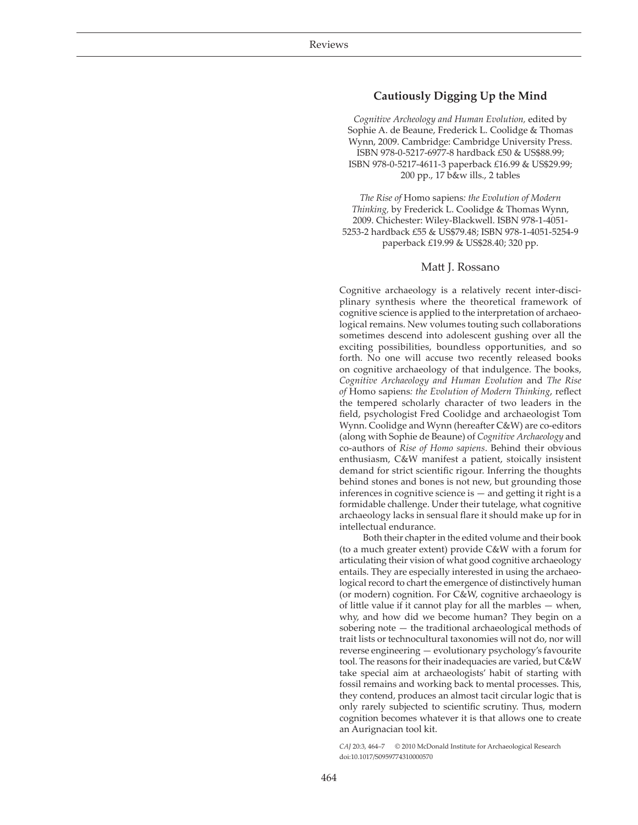## **Cautiously Digging Up the Mind**

*Cognitive Archeology and Human Evolution,* edited by Sophie A. de Beaune, Frederick L. Coolidge & Thomas Wynn, 2009. Cambridge: Cambridge University Press. ISBN 978-0-5217-6977-8 hardback £50 & US\$88.99; ISBN 978-0-5217-4611-3 paperback £16.99 & US\$29.99; 200 pp., 17 b&w ills., 2 tables

*The Rise of* Homo sapiens*: the Evolution of Modern Thinking,* by Frederick L. Coolidge & Thomas Wynn, 2009. Chichester: Wiley-Blackwell. ISBN 978-1-4051- 5253-2 hardback £55 & US\$79.48; ISBN 978-1-4051-5254-9 paperback £19.99 & US\$28.40; 320 pp.

## Matt J. Rossano

Cognitive archaeology is a relatively recent inter-disciplinary synthesis where the theoretical framework of cognitive science is applied to the interpretation of archaeological remains. New volumes touting such collaborations sometimes descend into adolescent gushing over all the exciting possibilities, boundless opportunities, and so forth. No one will accuse two recently released books on cognitive archaeology of that indulgence. The books, *Cognitive Archaeology and Human Evolution* and *The Rise of* Homo sapiens*: the Evolution of Modern Thinking*, reflect the tempered scholarly character of two leaders in the field, psychologist Fred Coolidge and archaeologist Tom Wynn. Coolidge and Wynn (hereafter C&W) are co-editors (along with Sophie de Beaune) of *Cognitive Archaeology* and co-authors of *Rise of Homo sapiens*. Behind their obvious enthusiasm, C&W manifest a patient, stoically insistent demand for strict scientific rigour. Inferring the thoughts behind stones and bones is not new, but grounding those inferences in cognitive science is — and getting it right is a formidable challenge. Under their tutelage, what cognitive archaeology lacks in sensual flare it should make up for in intellectual endurance.

Both their chapter in the edited volume and their book (to a much greater extent) provide C&W with a forum for articulating their vision of what good cognitive archaeology entails. They are especially interested in using the archaeological record to chart the emergence of distinctively human (or modern) cognition. For C&W, cognitive archaeology is of little value if it cannot play for all the marbles — when, why, and how did we become human? They begin on a sobering note — the traditional archaeological methods of trait lists or technocultural taxonomies will not do, nor will reverse engineering — evolutionary psychology's favourite tool. The reasons for their inadequacies are varied, but C&W take special aim at archaeologists' habit of starting with fossil remains and working back to mental processes. This, they contend, produces an almost tacit circular logic that is only rarely subjected to scientific scrutiny. Thus, modern cognition becomes whatever it is that allows one to create an Aurignacian tool kit.

*CAJ* 20:3, 464–7 © 2010 McDonald Institute for Archaeological Research doi:10.1017/S0959774310000570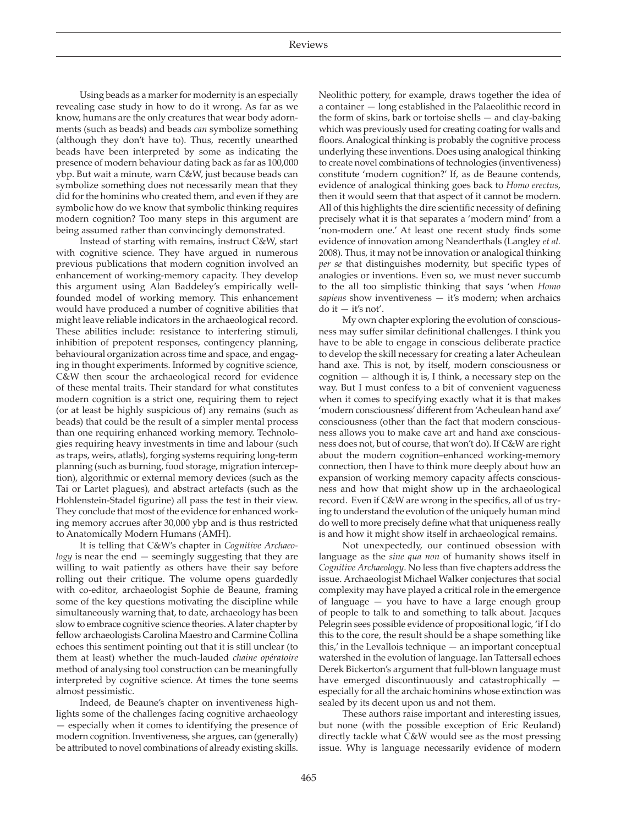Using beads as a marker for modernity is an especially revealing case study in how to do it wrong. As far as we know, humans are the only creatures that wear body adornments (such as beads) and beads *can* symbolize something (although they don't have to). Thus, recently unearthed beads have been interpreted by some as indicating the presence of modern behaviour dating back as far as 100,000 ybp. But wait a minute, warn C&W, just because beads can symbolize something does not necessarily mean that they did for the hominins who created them, and even if they are symbolic how do we know that symbolic thinking requires modern cognition? Too many steps in this argument are being assumed rather than convincingly demonstrated.

Instead of starting with remains, instruct C&W, start with cognitive science. They have argued in numerous previous publications that modern cognition involved an enhancement of working-memory capacity. They develop this argument using Alan Baddeley's empirically wellfounded model of working memory. This enhancement would have produced a number of cognitive abilities that might leave reliable indicators in the archaeological record. These abilities include: resistance to interfering stimuli, inhibition of prepotent responses, contingency planning, behavioural organization across time and space, and engaging in thought experiments. Informed by cognitive science, C&W then scour the archaeological record for evidence of these mental traits. Their standard for what constitutes modern cognition is a strict one, requiring them to reject (or at least be highly suspicious of) any remains (such as beads) that could be the result of a simpler mental process than one requiring enhanced working memory. Technologies requiring heavy investments in time and labour (such as traps, weirs, atlatls), forging systems requiring long-term planning (such as burning, food storage, migration interception), algorithmic or external memory devices (such as the Tai or Lartet plagues), and abstract artefacts (such as the Hohlenstein-Stadel figurine) all pass the test in their view. They conclude that most of the evidence for enhanced working memory accrues after 30,000 ybp and is thus restricted to Anatomically Modern Humans (AMH).

It is telling that C&W's chapter in *Cognitive Archaeology* is near the end — seemingly suggesting that they are willing to wait patiently as others have their say before rolling out their critique. The volume opens guardedly with co-editor, archaeologist Sophie de Beaune, framing some of the key questions motivating the discipline while simultaneously warning that, to date, archaeology has been slow to embrace cognitive science theories. A later chapter by fellow archaeologists Carolina Maestro and Carmine Collina echoes this sentiment pointing out that it is still unclear (to them at least) whether the much-lauded *chaine opératoire*  method of analysing tool construction can be meaningfully interpreted by cognitive science. At times the tone seems almost pessimistic.

Indeed, de Beaune's chapter on inventiveness highlights some of the challenges facing cognitive archaeology — especially when it comes to identifying the presence of modern cognition. Inventiveness, she argues, can (generally) be attributed to novel combinations of already existing skills.

Neolithic pottery, for example, draws together the idea of a container — long established in the Palaeolithic record in the form of skins, bark or tortoise shells — and clay-baking which was previously used for creating coating for walls and floors. Analogical thinking is probably the cognitive process underlying these inventions. Does using analogical thinking to create novel combinations of technologies (inventiveness) constitute 'modern cognition?' If, as de Beaune contends, evidence of analogical thinking goes back to *Homo erectus*, then it would seem that that aspect of it cannot be modern. All of this highlights the dire scientific necessity of defining precisely what it is that separates a 'modern mind' from a 'non-modern one.' At least one recent study finds some evidence of innovation among Neanderthals (Langley *et al.*  2008). Thus, it may not be innovation or analogical thinking *per se* that distinguishes modernity, but specific types of analogies or inventions. Even so, we must never succumb to the all too simplistic thinking that says 'when *Homo sapiens* show inventiveness — it's modern; when archaics  $d$ o it  $-$  it's not'.

My own chapter exploring the evolution of consciousness may suffer similar definitional challenges. I think you have to be able to engage in conscious deliberate practice to develop the skill necessary for creating a later Acheulean hand axe. This is not, by itself, modern consciousness or cognition — although it is, I think, a necessary step on the way. But I must confess to a bit of convenient vagueness when it comes to specifying exactly what it is that makes 'modern consciousness' different from 'Acheulean hand axe' consciousness (other than the fact that modern consciousness allows you to make cave art and hand axe consciousness does not, but of course, that won't do). If C&W are right about the modern cognition–enhanced working-memory connection, then I have to think more deeply about how an expansion of working memory capacity affects consciousness and how that might show up in the archaeological record. Even if C&W are wrong in the specifics, all of us trying to understand the evolution of the uniquely human mind do well to more precisely define what that uniqueness really is and how it might show itself in archaeological remains.

Not unexpectedly, our continued obsession with language as the *sine qua non* of humanity shows itself in *Cognitive Archaeology*. No less than five chapters address the issue. Archaeologist Michael Walker conjectures that social complexity may have played a critical role in the emergence of language — you have to have a large enough group of people to talk to and something to talk about. Jacques Pelegrin sees possible evidence of propositional logic, 'if I do this to the core, the result should be a shape something like this,' in the Levallois technique — an important conceptual watershed in the evolution of language. Ian Tattersall echoes Derek Bickerton's argument that full-blown language must have emerged discontinuously and catastrophically especially for all the archaic hominins whose extinction was sealed by its decent upon us and not them.

These authors raise important and interesting issues, but none (with the possible exception of Eric Reuland) directly tackle what C&W would see as the most pressing issue. Why is language necessarily evidence of modern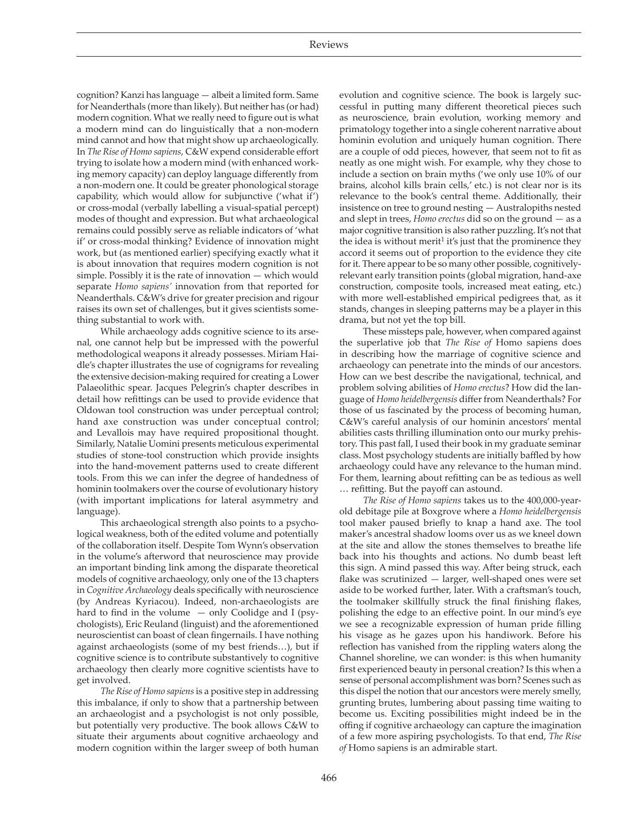cognition? Kanzi has language — albeit a limited form. Same for Neanderthals (more than likely). But neither has (or had) modern cognition. What we really need to figure out is what a modern mind can do linguistically that a non-modern mind cannot and how that might show up archaeologically. In *The Rise of Homo sapiens*, C&W expend considerable effort trying to isolate how a modern mind (with enhanced working memory capacity) can deploy language differently from a non-modern one. It could be greater phonological storage capability, which would allow for subjunctive ('what if') or cross-modal (verbally labelling a visual-spatial percept) modes of thought and expression. But what archaeological remains could possibly serve as reliable indicators of 'what if' or cross-modal thinking? Evidence of innovation might work, but (as mentioned earlier) specifying exactly what it is about innovation that requires modern cognition is not simple. Possibly it is the rate of innovation — which would separate *Homo sapiens'* innovation from that reported for Neanderthals. C&W's drive for greater precision and rigour raises its own set of challenges, but it gives scientists something substantial to work with.

While archaeology adds cognitive science to its arsenal, one cannot help but be impressed with the powerful methodological weapons it already possesses. Miriam Haidle's chapter illustrates the use of cognigrams for revealing the extensive decision-making required for creating a Lower Palaeolithic spear. Jacques Pelegrin's chapter describes in detail how refittings can be used to provide evidence that Oldowan tool construction was under perceptual control; hand axe construction was under conceptual control; and Levallois may have required propositional thought. Similarly, Natalie Uomini presents meticulous experimental studies of stone-tool construction which provide insights into the hand-movement patterns used to create different tools. From this we can infer the degree of handedness of hominin toolmakers over the course of evolutionary history (with important implications for lateral asymmetry and language).

This archaeological strength also points to a psychological weakness, both of the edited volume and potentially of the collaboration itself. Despite Tom Wynn's observation in the volume's afterword that neuroscience may provide an important binding link among the disparate theoretical models of cognitive archaeology, only one of the 13 chapters in *Cognitive Archaeology* deals specifically with neuroscience (by Andreas Kyriacou). Indeed, non-archaeologists are hard to find in the volume  $-$  only Coolidge and I (psychologists), Eric Reuland (linguist) and the aforementioned neuroscientist can boast of clean fingernails. I have nothing against archaeologists (some of my best friends…), but if cognitive science is to contribute substantively to cognitive archaeology then clearly more cognitive scientists have to get involved.

*The Rise of Homo sapiens* is a positive step in addressing this imbalance, if only to show that a partnership between an archaeologist and a psychologist is not only possible, but potentially very productive. The book allows C&W to situate their arguments about cognitive archaeology and modern cognition within the larger sweep of both human evolution and cognitive science. The book is largely successful in putting many different theoretical pieces such as neuroscience, brain evolution, working memory and primatology together into a single coherent narrative about hominin evolution and uniquely human cognition. There are a couple of odd pieces, however, that seem not to fit as neatly as one might wish. For example, why they chose to include a section on brain myths ('we only use 10% of our brains, alcohol kills brain cells,' etc.) is not clear nor is its relevance to the book's central theme. Additionally, their insistence on tree to ground nesting — Australopiths nested and slept in trees, *Homo erectus* did so on the ground — as a major cognitive transition is also rather puzzling. It's not that the idea is without merit<sup>1</sup> it's just that the prominence they accord it seems out of proportion to the evidence they cite for it. There appear to be so many other possible, cognitivelyrelevant early transition points (global migration, hand-axe construction, composite tools, increased meat eating, etc.) with more well-established empirical pedigrees that, as it stands, changes in sleeping patterns may be a player in this drama, but not yet the top bill.

These missteps pale, however, when compared against the superlative job that *The Rise of* Homo sapiens does in describing how the marriage of cognitive science and archaeology can penetrate into the minds of our ancestors. How can we best describe the navigational, technical, and problem solving abilities of *Homo erectus*? How did the language of *Homo heidelbergensis* differ from Neanderthals? For those of us fascinated by the process of becoming human, C&W's careful analysis of our hominin ancestors' mental abilities casts thrilling illumination onto our murky prehistory. This past fall, I used their book in my graduate seminar class. Most psychology students are initially baffled by how archaeology could have any relevance to the human mind. For them, learning about refitting can be as tedious as well … refitting. But the payoff can astound.

*The Rise of Homo sapiens* takes us to the 400,000-yearold debitage pile at Boxgrove where a *Homo heidelbergensis* tool maker paused briefly to knap a hand axe. The tool maker's ancestral shadow looms over us as we kneel down at the site and allow the stones themselves to breathe life back into his thoughts and actions. No dumb beast left this sign. A mind passed this way. After being struck, each flake was scrutinized — larger, well-shaped ones were set aside to be worked further, later. With a craftsman's touch, the toolmaker skillfully struck the final finishing flakes, polishing the edge to an effective point. In our mind's eye we see a recognizable expression of human pride filling his visage as he gazes upon his handiwork. Before his reflection has vanished from the rippling waters along the Channel shoreline, we can wonder: is this when humanity first experienced beauty in personal creation? Is this when a sense of personal accomplishment was born? Scenes such as this dispel the notion that our ancestors were merely smelly, grunting brutes, lumbering about passing time waiting to become us. Exciting possibilities might indeed be in the offing if cognitive archaeology can capture the imagination of a few more aspiring psychologists. To that end, *The Rise of* Homo sapiens is an admirable start.